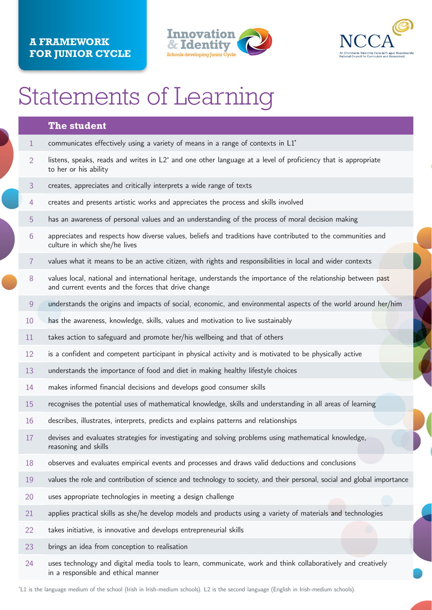## **The student**

- 1 communicates effectively using a variety of means in a range of contexts in L1<sup>\*</sup>
- $2$  listens, speaks, reads and writes in  $\mathsf{L2}^*$  and one other language at a level of proficiency that is appropriate to her or his ability
- 3 creates, appreciates and critically interprets a wide range of texts
- 4 creates and presents artistic works and appreciates the process and skills involved
- 5 has an awareness of personal values and an understanding of the process of moral decision making
- 6 appreciates and respects how diverse values, beliefs and traditions have contributed to the communities and culture in which she/he lives
- 7 values what it means to be an active citizen, with rights and responsibilities in local and wider contexts
- 8 values local, national and international heritage, understands the importance of the relationship between past and current events and the forces that drive change
- 9 understands the origins and impacts of social, economic, and environmental aspects of the world around her/him
- 10 has the awareness, knowledge, skills, values and motivation to live sustainably
- 11 takes action to safeguard and promote her/his wellbeing and that of others
- 12 is a confident and competent participant in physical activity and is motivated to be physically active
- 13 understands the importance of food and diet in making healthy lifestyle choices
- 14 makes informed financial decisions and develops good consumer skills
- 15 recognises the potential uses of mathematical knowledge, skills and understanding in all areas of learning
- 16 describes, illustrates, interprets, predicts and explains patterns and relationships
- 17 devises and evaluates strategies for investigating and solving problems using mathematical knowledge, reasoning and skills
- 
- 18 observes and evaluates empirical events and processes and draws valid deductions and conclusions
- 19 values the role and contribution of science and technology to society, and their personal, social and global importance
- 20 uses appropriate technologies in meeting a design challenge
- 21 applies practical skills as she/he develop models and products using a variety of materials and technologies
- 22 takes initiative, is innovative and develops entrepreneurial skills
- 23 brings an idea from conception to realisation
- 24 uses technology and digital media tools to learn, communicate, work and think collaboratively and creatively in a responsible and ethical manner

\* L1 is the language medium of the school (Irish in Irish-medium schools). L2 is the second language (English in Irish-medium schools).

## **A Framework for Junior Cycle**





## Statements of Learning